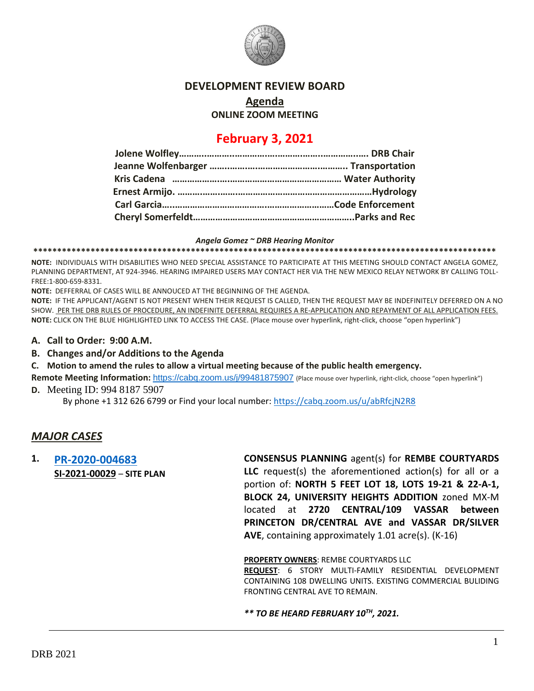

#### **DEVELOPMENT REVIEW BOARD**

**Agenda**

**ONLINE ZOOM MEETING**

# **February 3, 2021**

#### *Angela Gomez ~ DRB Hearing Monitor*

**\*\*\*\*\*\*\*\*\*\*\*\*\*\*\*\*\*\*\*\*\*\*\*\*\*\*\*\*\*\*\*\*\*\*\*\*\*\*\*\*\*\*\*\*\*\*\*\*\*\*\*\*\*\*\*\*\*\*\*\*\*\*\*\*\*\*\*\*\*\*\*\*\*\*\*\*\*\*\*\*\*\*\*\*\*\*\*\*\*\*\*\*\*\*\*\*\***

**NOTE:** INDIVIDUALS WITH DISABILITIES WHO NEED SPECIAL ASSISTANCE TO PARTICIPATE AT THIS MEETING SHOULD CONTACT ANGELA GOMEZ, PLANNING DEPARTMENT, AT 924-3946. HEARING IMPAIRED USERS MAY CONTACT HER VIA THE NEW MEXICO RELAY NETWORK BY CALLING TOLL-FREE:1-800-659-8331.

**NOTE:** DEFFERRAL OF CASES WILL BE ANNOUCED AT THE BEGINNING OF THE AGENDA.

**NOTE:** IF THE APPLICANT/AGENT IS NOT PRESENT WHEN THEIR REQUEST IS CALLED, THEN THE REQUEST MAY BE INDEFINITELY DEFERRED ON A NO SHOW. PER THE DRB RULES OF PROCEDURE, AN INDEFINITE DEFERRAL REQUIRES A RE-APPLICATION AND REPAYMENT OF ALL APPLICATION FEES. **NOTE:** CLICK ON THE BLUE HIGHLIGHTED LINK TO ACCESS THE CASE. (Place mouse over hyperlink, right-click, choose "open hyperlink")

- **A. Call to Order: 9:00 A.M.**
- **B. Changes and/or Additions to the Agenda**
- **C. Motion to amend the rules to allow a virtual meeting because of the public health emergency.**

Remote Meeting Information: <https://cabq.zoom.us/j/99481875907> (Place mouse over hyperlink, right-click, choose "open hyperlink") **D.** Meeting ID: 994 8187 5907

By phone +1 312 626 6799 or Find your local number:<https://cabq.zoom.us/u/abRfcjN2R8>

## *MAJOR CASES*

**1. [PR-2020-004683](http://data.cabq.gov/government/planning/DRB/PR-2020-004683/DRB%20Submittals/PR-2020-004683_Jan_27_2021/PR-2020-004683%20Site%20Plan%20-%20DRB%20Application.pdf) SI-2021-00029** – **SITE PLAN** **CONSENSUS PLANNING** agent(s) for **REMBE COURTYARDS LLC** request(s) the aforementioned action(s) for all or a portion of: **NORTH 5 FEET LOT 18, LOTS 19-21 & 22-A-1, BLOCK 24, UNIVERSITY HEIGHTS ADDITION** zoned MX-M located at **2720 CENTRAL/109 VASSAR between PRINCETON DR/CENTRAL AVE and VASSAR DR/SILVER AVE**, containing approximately 1.01 acre(s). (K-16)

**PROPERTY OWNERS**: REMBE COURTYARDS LLC

**REQUEST**: 6 STORY MULTI-FAMILY RESIDENTIAL DEVELOPMENT CONTAINING 108 DWELLING UNITS. EXISTING COMMERCIAL BULIDING FRONTING CENTRAL AVE TO REMAIN.

*\*\* TO BE HEARD FEBRUARY 10TH, 2021.*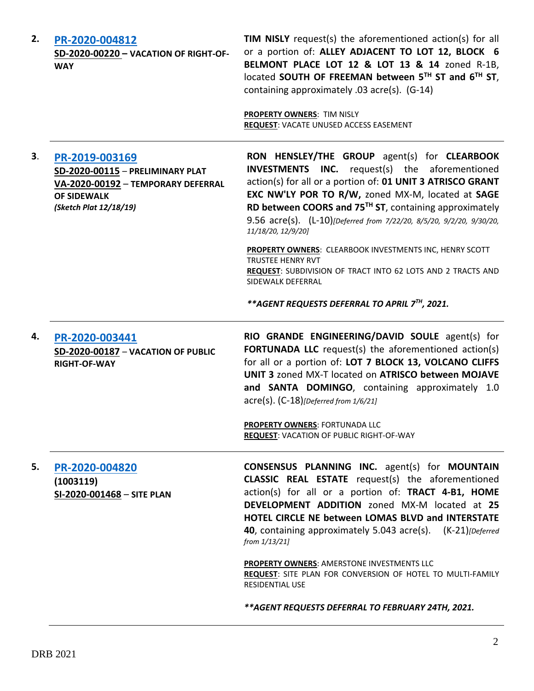| 2. | PR-2020-004812<br>SD-2020-00220 - VACATION OF RIGHT-OF-<br><b>WAY</b>                                                                    | <b>TIM NISLY</b> request(s) the aforementioned action(s) for all<br>or a portion of: ALLEY ADJACENT TO LOT 12, BLOCK 6<br>BELMONT PLACE LOT 12 & LOT 13 & 14 zoned R-1B,<br>located SOUTH OF FREEMAN between 5TH ST and 6TH ST,<br>containing approximately .03 acre(s). (G-14)<br><b>PROPERTY OWNERS: TIM NISLY</b><br>REQUEST: VACATE UNUSED ACCESS EASEMENT                                                                                                                                                             |
|----|------------------------------------------------------------------------------------------------------------------------------------------|----------------------------------------------------------------------------------------------------------------------------------------------------------------------------------------------------------------------------------------------------------------------------------------------------------------------------------------------------------------------------------------------------------------------------------------------------------------------------------------------------------------------------|
| 3. | PR-2019-003169<br>SD-2020-00115 - PRELIMINARY PLAT<br>VA-2020-00192 - TEMPORARY DEFERRAL<br><b>OF SIDEWALK</b><br>(Sketch Plat 12/18/19) | RON HENSLEY/THE GROUP agent(s) for CLEARBOOK<br><b>INVESTMENTS</b><br><b>INC.</b> request(s) the aforementioned<br>action(s) for all or a portion of: 01 UNIT 3 ATRISCO GRANT<br>EXC NW'LY POR TO R/W, zoned MX-M, located at SAGE<br>RD between COORS and 75 <sup>TH</sup> ST, containing approximately<br>9.56 acre(s). (L-10)[Deferred from 7/22/20, 8/5/20, 9/2/20, 9/30/20,<br>11/18/20, 12/9/20]                                                                                                                     |
|    |                                                                                                                                          | PROPERTY OWNERS: CLEARBOOK INVESTMENTS INC, HENRY SCOTT<br><b>TRUSTEE HENRY RVT</b><br>REQUEST: SUBDIVISION OF TRACT INTO 62 LOTS AND 2 TRACTS AND<br>SIDEWALK DEFERRAL<br>**AGENT REQUESTS DEFERRAL TO APRIL 7TH, 2021.                                                                                                                                                                                                                                                                                                   |
| 4. | PR-2020-003441                                                                                                                           | RIO GRANDE ENGINEERING/DAVID SOULE agent(s) for                                                                                                                                                                                                                                                                                                                                                                                                                                                                            |
|    | SD-2020-00187 - VACATION OF PUBLIC<br><b>RIGHT-OF-WAY</b>                                                                                | <b>FORTUNADA LLC</b> request(s) the aforementioned action(s)<br>for all or a portion of: LOT 7 BLOCK 13, VOLCANO CLIFFS<br>UNIT 3 zoned MX-T located on ATRISCO between MOJAVE<br>and SANTA DOMINGO, containing approximately 1.0<br>$\text{acre}(s)$ . $(C-18)$ [Deferred from 1/6/21]                                                                                                                                                                                                                                    |
|    |                                                                                                                                          | <b>PROPERTY OWNERS: FORTUNADA LLC</b><br><b>REQUEST: VACATION OF PUBLIC RIGHT-OF-WAY</b>                                                                                                                                                                                                                                                                                                                                                                                                                                   |
| 5. | PR-2020-004820<br>(1003119)<br>SI-2020-001468 - SITE PLAN                                                                                | <b>CONSENSUS PLANNING INC.</b> agent(s) for <b>MOUNTAIN</b><br><b>CLASSIC REAL ESTATE</b> request(s) the aforementioned<br>action(s) for all or a portion of: TRACT 4-B1, HOME<br>DEVELOPMENT ADDITION zoned MX-M located at 25<br><b>HOTEL CIRCLE NE between LOMAS BLVD and INTERSTATE</b><br>40, containing approximately 5.043 acre(s). (K-21) [Deferred]<br>from 1/13/21]<br><b>PROPERTY OWNERS: AMERSTONE INVESTMENTS LLC</b><br>REQUEST: SITE PLAN FOR CONVERSION OF HOTEL TO MULTI-FAMILY<br><b>RESIDENTIAL USE</b> |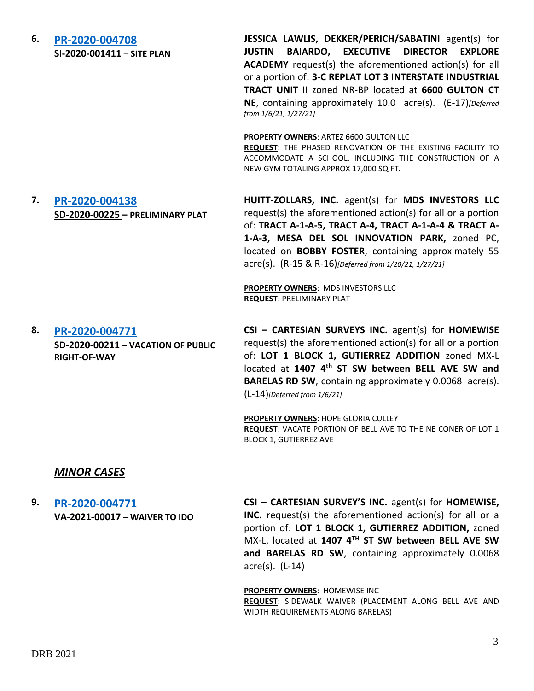| 6. | PR-2020-004708<br>SI-2020-001411 - SITE PLAN                                | JESSICA LAWLIS, DEKKER/PERICH/SABATINI agent(s) for<br><b>BAIARDO, EXECUTIVE</b><br><b>DIRECTOR</b><br><b>JUSTIN</b><br><b>EXPLORE</b><br><b>ACADEMY</b> request(s) the aforementioned action(s) for all<br>or a portion of: 3-C REPLAT LOT 3 INTERSTATE INDUSTRIAL<br>TRACT UNIT II zoned NR-BP located at 6600 GULTON CT<br>NE, containing approximately 10.0 acre(s). (E-17) [Deferred]<br>from 1/6/21, 1/27/21]                                                      |
|----|-----------------------------------------------------------------------------|--------------------------------------------------------------------------------------------------------------------------------------------------------------------------------------------------------------------------------------------------------------------------------------------------------------------------------------------------------------------------------------------------------------------------------------------------------------------------|
|    |                                                                             | PROPERTY OWNERS: ARTEZ 6600 GULTON LLC<br>REQUEST: THE PHASED RENOVATION OF THE EXISTING FACILITY TO<br>ACCOMMODATE A SCHOOL, INCLUDING THE CONSTRUCTION OF A<br>NEW GYM TOTALING APPROX 17,000 SQ FT.                                                                                                                                                                                                                                                                   |
| 7. | PR-2020-004138<br>SD-2020-00225 - PRELIMINARY PLAT                          | HUITT-ZOLLARS, INC. agent(s) for MDS INVESTORS LLC<br>request(s) the aforementioned action(s) for all or a portion<br>of: TRACT A-1-A-5, TRACT A-4, TRACT A-1-A-4 & TRACT A-<br>1-A-3, MESA DEL SOL INNOVATION PARK, zoned PC,<br>located on <b>BOBBY FOSTER</b> , containing approximately 55<br>acre(s). (R-15 & R-16)[Deferred from 1/20/21, 1/27/21]<br>PROPERTY OWNERS: MDS INVESTORS LLC<br><b>REQUEST: PRELIMINARY PLAT</b>                                       |
| 8. | PR-2020-004771<br>SD-2020-00211 - VACATION OF PUBLIC<br><b>RIGHT-OF-WAY</b> | CSI - CARTESIAN SURVEYS INC. agent(s) for HOMEWISE<br>request(s) the aforementioned action(s) for all or a portion<br>of: LOT 1 BLOCK 1, GUTIERREZ ADDITION zoned MX-L<br>located at 1407 4th ST SW between BELL AVE SW and<br>BARELAS RD SW, containing approximately 0.0068 acre(s).<br>$(L-14)$ [Deferred from 1/6/21]<br><b>PROPERTY OWNERS: HOPE GLORIA CULLEY</b><br>REQUEST: VACATE PORTION OF BELL AVE TO THE NE CONER OF LOT 1<br><b>BLOCK 1, GUTIERREZ AVE</b> |

## *MINOR CASES*

**9. [PR-2020-004771](http://data.cabq.gov/government/planning/DRB/PR-2020-004771/DRB%20Submittals/PR-2020-004771_Feb_3_2021%20(Waiver)/DRB_appli_SW_Waiver_PR-2020-004771.pdf) VA-2021-00017 – WAIVER TO IDO CSI – CARTESIAN SURVEY'S INC.** agent(s) for **HOMEWISE, INC.** request(s) the aforementioned action(s) for all or a portion of: **LOT 1 BLOCK 1, GUTIERREZ ADDITION,** zoned MX-L, located at **1407 4TH ST SW between BELL AVE SW and BARELAS RD SW**, containing approximately 0.0068 acre(s). (L-14)

> **PROPERTY OWNERS**: HOMEWISE INC **REQUEST**: SIDEWALK WAIVER (PLACEMENT ALONG BELL AVE AND WIDTH REQUIREMENTS ALONG BARELAS)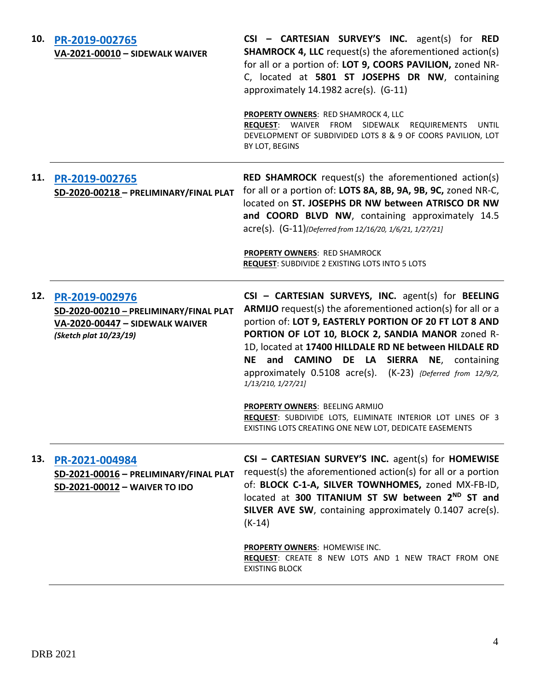| 10. | PR-2019-002765<br>VA-2021-00010 - SIDEWALK WAIVER                                                                     | CSI - CARTESIAN SURVEY'S INC. agent(s) for RED<br><b>SHAMROCK 4, LLC</b> request(s) the aforementioned action(s)<br>for all or a portion of: LOT 9, COORS PAVILION, zoned NR-<br>C, located at 5801 ST JOSEPHS DR NW, containing<br>approximately 14.1982 acre(s). (G-11)<br><b>PROPERTY OWNERS: RED SHAMROCK 4, LLC</b><br><b>REQUEST:</b> WAIVER FROM SIDEWALK<br><b>REQUIREMENTS</b><br>UNTIL<br>DEVELOPMENT OF SUBDIVIDED LOTS 8 & 9 OF COORS PAVILION, LOT<br>BY LOT, BEGINS |
|-----|-----------------------------------------------------------------------------------------------------------------------|-----------------------------------------------------------------------------------------------------------------------------------------------------------------------------------------------------------------------------------------------------------------------------------------------------------------------------------------------------------------------------------------------------------------------------------------------------------------------------------|
| 11. | PR-2019-002765<br>SD-2020-00218 - PRELIMINARY/FINAL PLAT                                                              | <b>RED SHAMROCK</b> request(s) the aforementioned action(s)<br>for all or a portion of: LOTS 8A, 8B, 9A, 9B, 9C, zoned NR-C,<br>located on ST. JOSEPHS DR NW between ATRISCO DR NW<br>and COORD BLVD NW, containing approximately 14.5<br>acre(s). (G-11)(Deferred from 12/16/20, 1/6/21, 1/27/21]<br>PROPERTY OWNERS: RED SHAMROCK                                                                                                                                               |
|     |                                                                                                                       | <b>REQUEST: SUBDIVIDE 2 EXISTING LOTS INTO 5 LOTS</b>                                                                                                                                                                                                                                                                                                                                                                                                                             |
| 12. | PR-2019-002976<br>SD-2020-00210 - PRELIMINARY/FINAL PLAT<br>VA-2020-00447 - SIDEWALK WAIVER<br>(Sketch plat 10/23/19) | CSI - CARTESIAN SURVEYS, INC. agent(s) for BEELING<br>ARMIJO request(s) the aforementioned action(s) for all or a<br>portion of: LOT 9, EASTERLY PORTION OF 20 FT LOT 8 AND<br>PORTION OF LOT 10, BLOCK 2, SANDIA MANOR zoned R-<br>1D, located at 17400 HILLDALE RD NE between HILDALE RD<br>NE and CAMINO DE LA SIERRA NE, containing<br>approximately 0.5108 acre(s). (K-23) {Deferred from 12/9/2,<br>1/13/210, 1/27/21]                                                      |
|     |                                                                                                                       | PROPERTY OWNERS: BEELING ARMIJO<br>REQUEST: SUBDIVIDE LOTS, ELIMINATE INTERIOR LOT LINES OF 3<br>EXISTING LOTS CREATING ONE NEW LOT, DEDICATE EASEMENTS                                                                                                                                                                                                                                                                                                                           |
| 13. | PR-2021-004984<br>SD-2021-00016 - PRELIMINARY/FINAL PLAT<br>SD-2021-00012 - WAIVER TO IDO                             | CSI - CARTESIAN SURVEY'S INC. agent(s) for HOMEWISE<br>request(s) the aforementioned action(s) for all or a portion<br>of: BLOCK C-1-A, SILVER TOWNHOMES, zoned MX-FB-ID,<br>located at 300 TITANIUM ST SW between 2 <sup>ND</sup> ST and<br>SILVER AVE SW, containing approximately 0.1407 acre(s).                                                                                                                                                                              |
|     |                                                                                                                       | $(K-14)$                                                                                                                                                                                                                                                                                                                                                                                                                                                                          |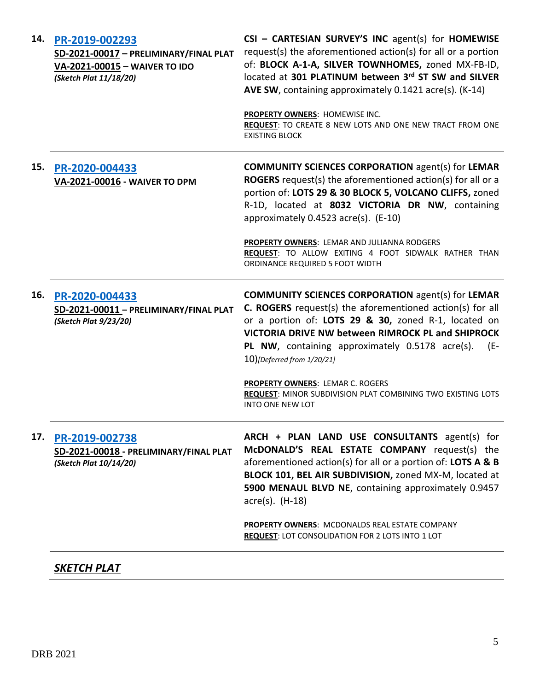| 14. | PR-2019-002293<br>SD-2021-00017 - PRELIMINARY/FINAL PLAT<br>VA-2021-00015 - WAIVER TO IDO<br>(Sketch Plat 11/18/20) | CSI - CARTESIAN SURVEY'S INC agent(s) for HOMEWISE<br>request(s) the aforementioned action(s) for all or a portion<br>of: BLOCK A-1-A, SILVER TOWNHOMES, zoned MX-FB-ID,<br>located at 301 PLATINUM between 3rd ST SW and SILVER<br>AVE SW, containing approximately 0.1421 acre(s). (K-14)                                       |
|-----|---------------------------------------------------------------------------------------------------------------------|-----------------------------------------------------------------------------------------------------------------------------------------------------------------------------------------------------------------------------------------------------------------------------------------------------------------------------------|
|     |                                                                                                                     | PROPERTY OWNERS: HOMEWISE INC.<br>REQUEST: TO CREATE 8 NEW LOTS AND ONE NEW TRACT FROM ONE<br><b>EXISTING BLOCK</b>                                                                                                                                                                                                               |
| 15. | PR-2020-004433<br>VA-2021-00016 - WAIVER TO DPM                                                                     | <b>COMMUNITY SCIENCES CORPORATION agent(s) for LEMAR</b><br><b>ROGERS</b> request(s) the aforementioned action(s) for all or a<br>portion of: LOTS 29 & 30 BLOCK 5, VOLCANO CLIFFS, zoned<br>R-1D, located at 8032 VICTORIA DR NW, containing<br>approximately 0.4523 acre(s). (E-10)                                             |
|     |                                                                                                                     | PROPERTY OWNERS: LEMAR AND JULIANNA RODGERS<br>REQUEST: TO ALLOW EXITING 4 FOOT SIDWALK RATHER THAN<br>ORDINANCE REQUIRED 5 FOOT WIDTH                                                                                                                                                                                            |
| 16. | PR-2020-004433<br>SD-2021-00011 - PRELIMINARY/FINAL PLAT<br>(Sketch Plat 9/23/20)                                   | <b>COMMUNITY SCIENCES CORPORATION agent(s) for LEMAR</b><br><b>C. ROGERS</b> request(s) the aforementioned action(s) for all<br>or a portion of: LOTS 29 & 30, zoned R-1, located on<br>VICTORIA DRIVE NW between RIMROCK PL and SHIPROCK<br>PL NW, containing approximately 0.5178 acre(s).<br>(E-<br>10)[Deferred from 1/20/21] |
|     |                                                                                                                     | PROPERTY OWNERS: LEMAR C. ROGERS<br>REQUEST: MINOR SUBDIVISION PLAT COMBINING TWO EXISTING LOTS<br><b>INTO ONE NEW LOT</b>                                                                                                                                                                                                        |
| 17. | PR-2019-002738<br>SD-2021-00018 - PRELIMINARY/FINAL PLAT<br>(Sketch Plat 10/14/20)                                  | ARCH + PLAN LAND USE CONSULTANTS agent(s) for<br>McDONALD'S REAL ESTATE COMPANY request(s) the<br>aforementioned action(s) for all or a portion of: LOTS A & B<br>BLOCK 101, BEL AIR SUBDIVISION, zoned MX-M, located at<br>5900 MENAUL BLVD NE, containing approximately 0.9457<br>$\arccos$ . (H-18)                            |
|     |                                                                                                                     | <b>PROPERTY OWNERS: MCDONALDS REAL ESTATE COMPANY</b><br><b>REQUEST: LOT CONSOLIDATION FOR 2 LOTS INTO 1 LOT</b>                                                                                                                                                                                                                  |
|     | SKETCH PLAT                                                                                                         |                                                                                                                                                                                                                                                                                                                                   |